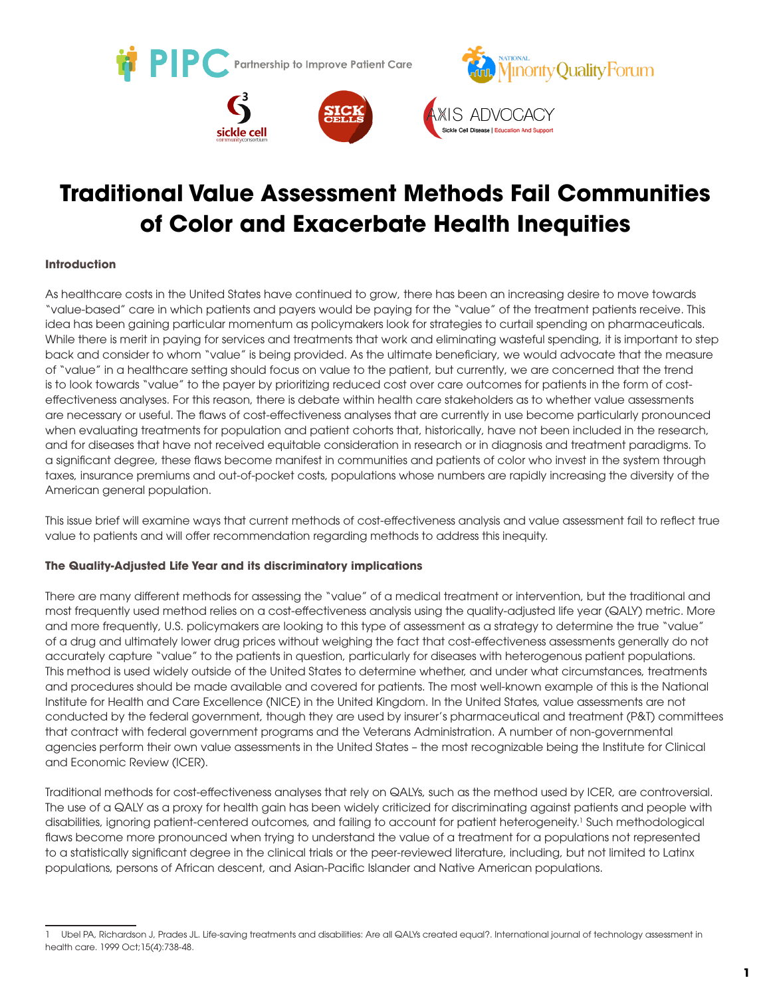

# **Traditional Value Assessment Methods Fail Communities of Color and Exacerbate Health Inequities**

### **Introduction**

As healthcare costs in the United States have continued to grow, there has been an increasing desire to move towards "value-based" care in which patients and payers would be paying for the "value" of the treatment patients receive. This idea has been gaining particular momentum as policymakers look for strategies to curtail spending on pharmaceuticals. While there is merit in paying for services and treatments that work and eliminating wasteful spending, it is important to step back and consider to whom "value" is being provided. As the ultimate beneficiary, we would advocate that the measure of "value" in a healthcare setting should focus on value to the patient, but currently, we are concerned that the trend is to look towards "value" to the payer by prioritizing reduced cost over care outcomes for patients in the form of costeffectiveness analyses. For this reason, there is debate within health care stakeholders as to whether value assessments are necessary or useful. The flaws of cost-effectiveness analyses that are currently in use become particularly pronounced when evaluating treatments for population and patient cohorts that, historically, have not been included in the research, and for diseases that have not received equitable consideration in research or in diagnosis and treatment paradigms. To a significant degree, these flaws become manifest in communities and patients of color who invest in the system through taxes, insurance premiums and out-of-pocket costs, populations whose numbers are rapidly increasing the diversity of the American general population.

This issue brief will examine ways that current methods of cost-effectiveness analysis and value assessment fail to reflect true value to patients and will offer recommendation regarding methods to address this inequity.

#### **The Quality-Adjusted Life Year and its discriminatory implications**

There are many different methods for assessing the "value" of a medical treatment or intervention, but the traditional and most frequently used method relies on a cost-effectiveness analysis using the quality-adjusted life year (QALY) metric. More and more frequently, U.S. policymakers are looking to this type of assessment as a strategy to determine the true "value" of a drug and ultimately lower drug prices without weighing the fact that cost-effectiveness assessments generally do not accurately capture "value" to the patients in question, particularly for diseases with heterogenous patient populations. This method is used widely outside of the United States to determine whether, and under what circumstances, treatments and procedures should be made available and covered for patients. The most well-known example of this is the National Institute for Health and Care Excellence (NICE) in the United Kingdom. In the United States, value assessments are not conducted by the federal government, though they are used by insurer's pharmaceutical and treatment (P&T) committees that contract with federal government programs and the Veterans Administration. A number of non-governmental agencies perform their own value assessments in the United States – the most recognizable being the Institute for Clinical and Economic Review (ICER).

Traditional methods for cost-effectiveness analyses that rely on QALYs, such as the method used by ICER, are controversial. The use of a QALY as a proxy for health gain has been widely criticized for discriminating against patients and people with disabilities, ignoring patient-centered outcomes, and failing to account for patient heterogeneity.<sup>1</sup> Such methodological flaws become more pronounced when trying to understand the value of a treatment for a populations not represented to a statistically significant degree in the clinical trials or the peer-reviewed literature, including, but not limited to Latinx populations, persons of African descent, and Asian-Pacific Islander and Native American populations.

Ubel PA, Richardson J, Prades JL. Life-saving treatments and disabilities: Are all QALYs created equal?. International journal of technology assessment in health care. 1999 Oct;15(4):738-48.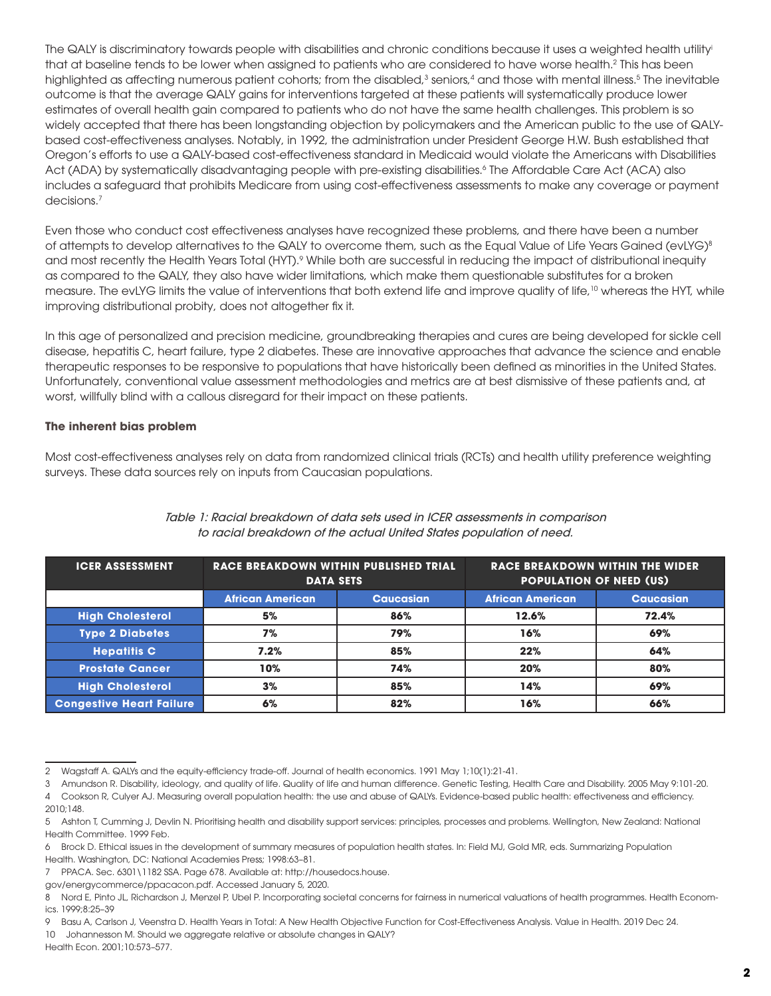The QALY is discriminatory towards people with disabilities and chronic conditions because it uses a weighted health utilityi that at baseline tends to be lower when assigned to patients who are considered to have worse health.<sup>2</sup> This has been highlighted as affecting numerous patient cohorts; from the disabled,<sup>3</sup> seniors,4 and those with mental illness.<sup>5</sup> The inevitable outcome is that the average QALY gains for interventions targeted at these patients will systematically produce lower estimates of overall health gain compared to patients who do not have the same health challenges. This problem is so widely accepted that there has been longstanding objection by policymakers and the American public to the use of QALYbased cost-effectiveness analyses. Notably, in 1992, the administration under President George H.W. Bush established that Oregon's efforts to use a QALY-based cost-effectiveness standard in Medicaid would violate the Americans with Disabilities Act (ADA) by systematically disadvantaging people with pre-existing disabilities.6 The Affordable Care Act (ACA) also includes a safeguard that prohibits Medicare from using cost-effectiveness assessments to make any coverage or payment decisions.<sup>7</sup>

Even those who conduct cost effectiveness analyses have recognized these problems, and there have been a number of attempts to develop alternatives to the QALY to overcome them, such as the Equal Value of Life Years Gained (evLYG)<sup>8</sup> and most recently the Health Years Total (HYT).<sup>9</sup> While both are successful in reducing the impact of distributional inequity as compared to the QALY, they also have wider limitations, which make them questionable substitutes for a broken measure. The evLYG limits the value of interventions that both extend life and improve quality of life,<sup>10</sup> whereas the HYT, while improving distributional probity, does not altogether fix it.

In this age of personalized and precision medicine, groundbreaking therapies and cures are being developed for sickle cell disease, hepatitis C, heart failure, type 2 diabetes. These are innovative approaches that advance the science and enable therapeutic responses to be responsive to populations that have historically been defined as minorities in the United States. Unfortunately, conventional value assessment methodologies and metrics are at best dismissive of these patients and, at worst, willfully blind with a callous disregard for their impact on these patients.

#### **The inherent bias problem**

Most cost-effectiveness analyses rely on data from randomized clinical trials (RCTs) and health utility preference weighting surveys. These data sources rely on inputs from Caucasian populations.

| <b>ICER ASSESSMENT</b>          | <b>RACE BREAKDOWN WITHIN PUBLISHED TRIAL</b><br><b>DATA SETS</b> |                  | <b>RACE BREAKDOWN WITHIN THE WIDER</b><br><b>POPULATION OF NEED (US)</b> |                  |
|---------------------------------|------------------------------------------------------------------|------------------|--------------------------------------------------------------------------|------------------|
|                                 | <b>African American</b>                                          | <b>Caucasian</b> | <b>African American</b>                                                  | <b>Caucasian</b> |
| <b>High Cholesterol</b>         | 5%                                                               | 86%              | 12.6%                                                                    | 72.4%            |
| <b>Type 2 Diabetes</b>          | 7%                                                               | 79%              | 16%                                                                      | 69%              |
| <b>Hepatitis C</b>              | 7.2%                                                             | 85%              | 22%                                                                      | 64%              |
| <b>Prostate Cancer</b>          | 10%                                                              | 74%              | 20%                                                                      | 80%              |
| <b>High Cholesterol</b>         | 3%                                                               | 85%              | 14%                                                                      | 69%              |
| <b>Congestive Heart Failure</b> | 6%                                                               | 82%              | 16%                                                                      | 66%              |

#### Table 1: Racial breakdown of data sets used in ICER assessments in comparison to racial breakdown of the actual United States population of need.

Health Econ. 2001;10:573–577.

<sup>2</sup> Wagstaff A. QALYs and the equity-efficiency trade-off. Journal of health economics. 1991 May 1;10(1):21-41.

<sup>3</sup> Amundson R. Disability, ideology, and quality of life. Quality of life and human difference. Genetic Testing, Health Care and Disability. 2005 May 9:101-20. 4 Cookson R, Culyer AJ. Measuring overall population health: the use and abuse of QALYs. Evidence-based public health: effectiveness and efficiency. 2010;148.

<sup>5</sup> Ashton T, Cumming J, Devlin N. Prioritising health and disability support services: principles, processes and problems. Wellington, New Zealand: National Health Committee. 1999 Feb.

<sup>6</sup> Brock D. Ethical issues in the development of summary measures of population health states. In: Field MJ, Gold MR, eds. Summarizing Population Health. Washington, DC: National Academies Press; 1998:63–81.

<sup>7</sup> PPACA. Sec. 6301\1182 SSA. Page 678. Available at: http://housedocs.house.

gov/energycommerce/ppacacon.pdf. Accessed January 5, 2020.

<sup>8</sup> Nord E, Pinto JL, Richardson J, Menzel P, Ubel P. Incorporating societal concerns for fairness in numerical valuations of health programmes. Health Economics. 1999;8:25–39

<sup>9</sup> Basu A, Carlson J, Veenstra D. Health Years in Total: A New Health Objective Function for Cost-Effectiveness Analysis. Value in Health. 2019 Dec 24. 10 Johannesson M. Should we aggregate relative or absolute changes in QALY?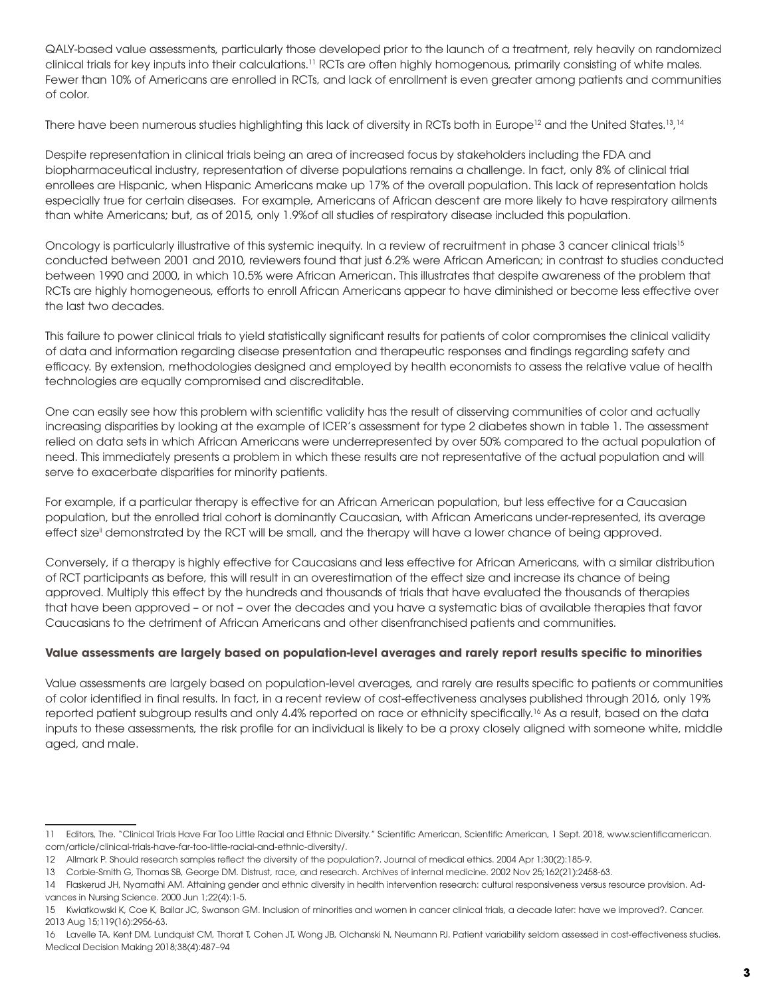QALY-based value assessments, particularly those developed prior to the launch of a treatment, rely heavily on randomized clinical trials for key inputs into their calculations.11 RCTs are often highly homogenous, primarily consisting of white males. Fewer than 10% of Americans are enrolled in RCTs, and lack of enrollment is even greater among patients and communities of color.

There have been numerous studies highlighting this lack of diversity in RCTs both in Europe<sup>12</sup> and the United States.<sup>13</sup>, <sup>14</sup>

Despite representation in clinical trials being an area of increased focus by stakeholders including the FDA and biopharmaceutical industry, representation of diverse populations remains a challenge. In fact, only 8% of clinical trial enrollees are Hispanic, when Hispanic Americans make up 17% of the overall population. This lack of representation holds especially true for certain diseases. For example, Americans of African descent are more likely to have respiratory ailments than white Americans; but, as of 2015, only 1.9%of all studies of respiratory disease included this population.

Oncology is particularly illustrative of this systemic inequity. In a review of recruitment in phase 3 cancer clinical trials<sup>15</sup> conducted between 2001 and 2010, reviewers found that just 6.2% were African American; in contrast to studies conducted between 1990 and 2000, in which 10.5% were African American. This illustrates that despite awareness of the problem that RCTs are highly homogeneous, efforts to enroll African Americans appear to have diminished or become less effective over the last two decades.

This failure to power clinical trials to yield statistically significant results for patients of color compromises the clinical validity of data and information regarding disease presentation and therapeutic responses and findings regarding safety and efficacy. By extension, methodologies designed and employed by health economists to assess the relative value of health technologies are equally compromised and discreditable.

One can easily see how this problem with scientific validity has the result of disserving communities of color and actually increasing disparities by looking at the example of ICER's assessment for type 2 diabetes shown in table 1. The assessment relied on data sets in which African Americans were underrepresented by over 50% compared to the actual population of need. This immediately presents a problem in which these results are not representative of the actual population and will serve to exacerbate disparities for minority patients.

For example, if a particular therapy is effective for an African American population, but less effective for a Caucasian population, but the enrolled trial cohort is dominantly Caucasian, with African Americans under-represented, its average effect size<sup>ii</sup> demonstrated by the RCT will be small, and the therapy will have a lower chance of being approved.

Conversely, if a therapy is highly effective for Caucasians and less effective for African Americans, with a similar distribution of RCT participants as before, this will result in an overestimation of the effect size and increase its chance of being approved. Multiply this effect by the hundreds and thousands of trials that have evaluated the thousands of therapies that have been approved – or not – over the decades and you have a systematic bias of available therapies that favor Caucasians to the detriment of African Americans and other disenfranchised patients and communities.

## **Value assessments are largely based on population-level averages and rarely report results specific to minorities**

Value assessments are largely based on population-level averages, and rarely are results specific to patients or communities of color identified in final results. In fact, in a recent review of cost-effectiveness analyses published through 2016, only 19% reported patient subgroup results and only 4.4% reported on race or ethnicity specifically.<sup>16</sup> As a result, based on the data inputs to these assessments, the risk profile for an individual is likely to be a proxy closely aligned with someone white, middle aged, and male.

<sup>11</sup> Editors, The. "Clinical Trials Have Far Too Little Racial and Ethnic Diversity." Scientific American, Scientific American, 1 Sept. 2018, www.scientificamerican. com/article/clinical-trials-have-far-too-little-racial-and-ethnic-diversity/.

<sup>12</sup> Allmark P. Should research samples reflect the diversity of the population?. Journal of medical ethics. 2004 Apr 1;30(2):185-9.

<sup>13</sup> Corbie-Smith G, Thomas SB, George DM. Distrust, race, and research. Archives of internal medicine. 2002 Nov 25;162(21):2458-63.

<sup>14</sup> Flaskerud JH, Nyamathi AM. Attaining gender and ethnic diversity in health intervention research: cultural responsiveness versus resource provision. Advances in Nursing Science. 2000 Jun 1;22(4):1-5.

<sup>15</sup> Kwiatkowski K, Coe K, Bailar JC, Swanson GM. Inclusion of minorities and women in cancer clinical trials, a decade later: have we improved?. Cancer. 2013 Aug 15;119(16):2956-63.

<sup>16</sup> Lavelle TA, Kent DM, Lundquist CM, Thorat T, Cohen JT, Wong JB, Olchanski N, Neumann PJ. Patient variability seldom assessed in cost-effectiveness studies. Medical Decision Making 2018;38(4):487–94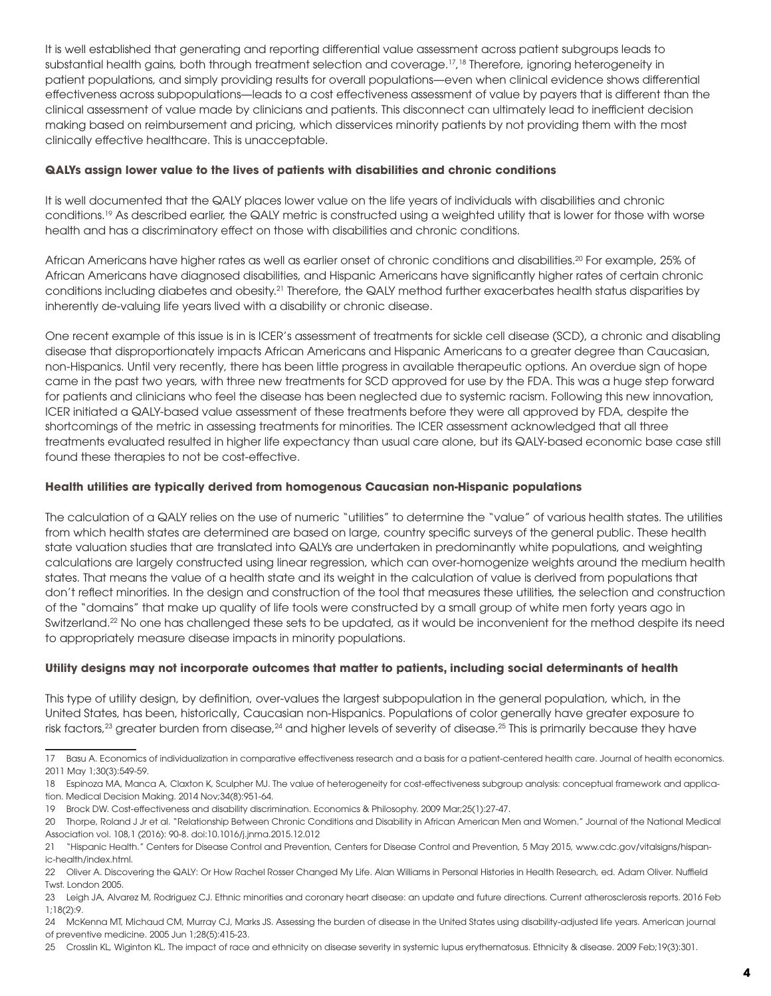It is well established that generating and reporting differential value assessment across patient subgroups leads to substantial health gains, both through treatment selection and coverage.17, 18 Therefore, ignoring heterogeneity in patient populations, and simply providing results for overall populations—even when clinical evidence shows differential effectiveness across subpopulations—leads to a cost effectiveness assessment of value by payers that is different than the clinical assessment of value made by clinicians and patients. This disconnect can ultimately lead to inefficient decision making based on reimbursement and pricing, which disservices minority patients by not providing them with the most clinically effective healthcare. This is unacceptable.

#### **QALYs assign lower value to the lives of patients with disabilities and chronic conditions**

It is well documented that the QALY places lower value on the life years of individuals with disabilities and chronic conditions.19 As described earlier, the QALY metric is constructed using a weighted utility that is lower for those with worse health and has a discriminatory effect on those with disabilities and chronic conditions.

African Americans have higher rates as well as earlier onset of chronic conditions and disabilities.<sup>20</sup> For example, 25% of African Americans have diagnosed disabilities, and Hispanic Americans have significantly higher rates of certain chronic conditions including diabetes and obesity.21 Therefore, the QALY method further exacerbates health status disparities by inherently de-valuing life years lived with a disability or chronic disease.

One recent example of this issue is in is ICER's assessment of treatments for sickle cell disease (SCD), a chronic and disabling disease that disproportionately impacts African Americans and Hispanic Americans to a greater degree than Caucasian, non-Hispanics. Until very recently, there has been little progress in available therapeutic options. An overdue sign of hope came in the past two years, with three new treatments for SCD approved for use by the FDA. This was a huge step forward for patients and clinicians who feel the disease has been neglected due to systemic racism. Following this new innovation, ICER initiated a QALY-based value assessment of these treatments before they were all approved by FDA, despite the shortcomings of the metric in assessing treatments for minorities. The ICER assessment acknowledged that all three treatments evaluated resulted in higher life expectancy than usual care alone, but its QALY-based economic base case still found these therapies to not be cost-effective.

### **Health utilities are typically derived from homogenous Caucasian non-Hispanic populations**

The calculation of a QALY relies on the use of numeric "utilities" to determine the "value" of various health states. The utilities from which health states are determined are based on large, country specific surveys of the general public. These health state valuation studies that are translated into QALYs are undertaken in predominantly white populations, and weighting calculations are largely constructed using linear regression, which can over-homogenize weights around the medium health states. That means the value of a health state and its weight in the calculation of value is derived from populations that don't reflect minorities. In the design and construction of the tool that measures these utilities, the selection and construction of the "domains" that make up quality of life tools were constructed by a small group of white men forty years ago in Switzerland.<sup>22</sup> No one has challenged these sets to be updated, as it would be inconvenient for the method despite its need to appropriately measure disease impacts in minority populations.

#### **Utility designs may not incorporate outcomes that matter to patients, including social determinants of health**

This type of utility design, by definition, over-values the largest subpopulation in the general population, which, in the United States, has been, historically, Caucasian non-Hispanics. Populations of color generally have greater exposure to risk factors,<sup>23</sup> greater burden from disease,<sup>24</sup> and higher levels of severity of disease.<sup>25</sup> This is primarily because they have

25 Crosslin KL, Wiginton KL. The impact of race and ethnicity on disease severity in systemic lupus erythematosus. Ethnicity & disease. 2009 Feb;19(3):301.

<sup>17</sup> Basu A. Economics of individualization in comparative effectiveness research and a basis for a patient-centered health care. Journal of health economics. 2011 May 1;30(3):549-59.

<sup>18</sup> Espinoza MA, Manca A, Claxton K, Sculpher MJ. The value of heterogeneity for cost-effectiveness subgroup analysis: conceptual framework and application. Medical Decision Making. 2014 Nov;34(8):951-64.

<sup>19</sup> Brock DW. Cost-effectiveness and disability discrimination. Economics & Philosophy. 2009 Mar;25(1):27-47.

<sup>20</sup> Thorpe, Roland J Jr et al. "Relationship Between Chronic Conditions and Disability in African American Men and Women." Journal of the National Medical Association vol. 108,1 (2016): 90-8. doi:10.1016/j.jnma.2015.12.012

<sup>21 &</sup>quot;Hispanic Health." Centers for Disease Control and Prevention, Centers for Disease Control and Prevention, 5 May 2015, www.cdc.gov/vitalsigns/hispanic-health/index.html.

<sup>22</sup> Oliver A. Discovering the QALY: Or How Rachel Rosser Changed My Life. Alan Williams in Personal Histories in Health Research, ed. Adam Oliver. Nuffield Twst. London 2005.

<sup>23</sup> Leigh JA, Alvarez M, Rodriguez CJ. Ethnic minorities and coronary heart disease: an update and future directions. Current atherosclerosis reports. 2016 Feb 1;18(2):9.

<sup>24</sup> McKenna MT, Michaud CM, Murray CJ, Marks JS. Assessing the burden of disease in the United States using disability-adjusted life years. American journal of preventive medicine. 2005 Jun 1;28(5):415-23.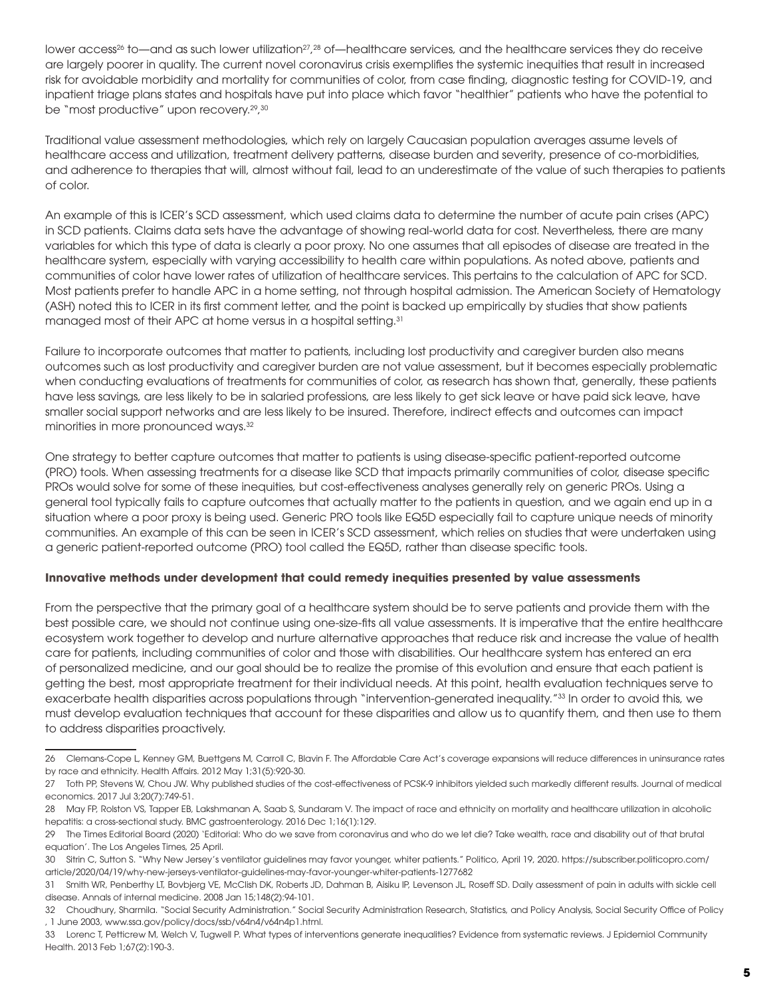lower access $^{26}$  to—and as such lower utilization $^{27,28}$  of—healthcare services, and the healthcare services they do receive are largely poorer in quality. The current novel coronavirus crisis exemplifies the systemic inequities that result in increased risk for avoidable morbidity and mortality for communities of color, from case finding, diagnostic testing for COVID-19, and inpatient triage plans states and hospitals have put into place which favor "healthier" patients who have the potential to be "most productive" upon recovery.<sup>29</sup>,<sup>30</sup>

Traditional value assessment methodologies, which rely on largely Caucasian population averages assume levels of healthcare access and utilization, treatment delivery patterns, disease burden and severity, presence of co-morbidities, and adherence to therapies that will, almost without fail, lead to an underestimate of the value of such therapies to patients of color.

An example of this is ICER's SCD assessment, which used claims data to determine the number of acute pain crises (APC) in SCD patients. Claims data sets have the advantage of showing real-world data for cost. Nevertheless, there are many variables for which this type of data is clearly a poor proxy. No one assumes that all episodes of disease are treated in the healthcare system, especially with varying accessibility to health care within populations. As noted above, patients and communities of color have lower rates of utilization of healthcare services. This pertains to the calculation of APC for SCD. Most patients prefer to handle APC in a home setting, not through hospital admission. The American Society of Hematology (ASH) noted this to ICER in its first comment letter, and the point is backed up empirically by studies that show patients managed most of their APC at home versus in a hospital setting.31

Failure to incorporate outcomes that matter to patients, including lost productivity and caregiver burden also means outcomes such as lost productivity and caregiver burden are not value assessment, but it becomes especially problematic when conducting evaluations of treatments for communities of color, as research has shown that, generally, these patients have less savings, are less likely to be in salaried professions, are less likely to get sick leave or have paid sick leave, have smaller social support networks and are less likely to be insured. Therefore, indirect effects and outcomes can impact minorities in more pronounced ways.32

One strategy to better capture outcomes that matter to patients is using disease-specific patient-reported outcome (PRO) tools. When assessing treatments for a disease like SCD that impacts primarily communities of color, disease specific PROs would solve for some of these inequities, but cost-effectiveness analyses generally rely on generic PROs. Using a general tool typically fails to capture outcomes that actually matter to the patients in question, and we again end up in a situation where a poor proxy is being used. Generic PRO tools like EQ5D especially fail to capture unique needs of minority communities. An example of this can be seen in ICER's SCD assessment, which relies on studies that were undertaken using a generic patient-reported outcome (PRO) tool called the EQ5D, rather than disease specific tools.

#### **Innovative methods under development that could remedy inequities presented by value assessments**

From the perspective that the primary goal of a healthcare system should be to serve patients and provide them with the best possible care, we should not continue using one-size-fits all value assessments. It is imperative that the entire healthcare ecosystem work together to develop and nurture alternative approaches that reduce risk and increase the value of health care for patients, including communities of color and those with disabilities. Our healthcare system has entered an era of personalized medicine, and our goal should be to realize the promise of this evolution and ensure that each patient is getting the best, most appropriate treatment for their individual needs. At this point, health evaluation techniques serve to exacerbate health disparities across populations through "intervention-generated inequality."33 In order to avoid this, we must develop evaluation techniques that account for these disparities and allow us to quantify them, and then use to them to address disparities proactively.

<sup>26</sup> Clemans-Cope L, Kenney GM, Buettgens M, Carroll C, Blavin F. The Affordable Care Act's coverage expansions will reduce differences in uninsurance rates by race and ethnicity. Health Affairs. 2012 May 1;31(5):920-30.

<sup>27</sup> Toth PP, Stevens W, Chou JW. Why published studies of the cost-effectiveness of PCSK-9 inhibitors yielded such markedly different results. Journal of medical economics. 2017 Jul 3;20(7):749-51.

<sup>28</sup> May FP, Rolston VS, Tapper EB, Lakshmanan A, Saab S, Sundaram V. The impact of race and ethnicity on mortality and healthcare utilization in alcoholic hepatitis: a cross-sectional study. BMC gastroenterology. 2016 Dec 1;16(1):129.

<sup>29</sup> The Times Editorial Board (2020) 'Editorial: Who do we save from coronavirus and who do we let die? Take wealth, race and disability out of that brutal equation'. The Los Angeles Times, 25 April.

<sup>30</sup> Sitrin C, Sutton S. "Why New Jersey's ventilator guidelines may favor younger, whiter patients." Politico, April 19, 2020. https://subscriber.politicopro.com/ article/2020/04/19/why-new-jerseys-ventilator-guidelines-may-favor-younger-whiter-patients-1277682

<sup>31</sup> Smith WR, Penberthy LT, Bovbjerg VE, McClish DK, Roberts JD, Dahman B, Aisiku IP, Levenson JL, Roseff SD. Daily assessment of pain in adults with sickle cell disease. Annals of internal medicine. 2008 Jan 15;148(2):94-101.

<sup>32</sup> Choudhury, Sharmila. "Social Security Administration." Social Security Administration Research, Statistics, and Policy Analysis, Social Security Office of Policy , 1 June 2003, www.ssa.gov/policy/docs/ssb/v64n4/v64n4p1.html.

<sup>33</sup> Lorenc T, Petticrew M, Welch V, Tugwell P. What types of interventions generate inequalities? Evidence from systematic reviews. J Epidemiol Community Health. 2013 Feb 1;67(2):190-3.